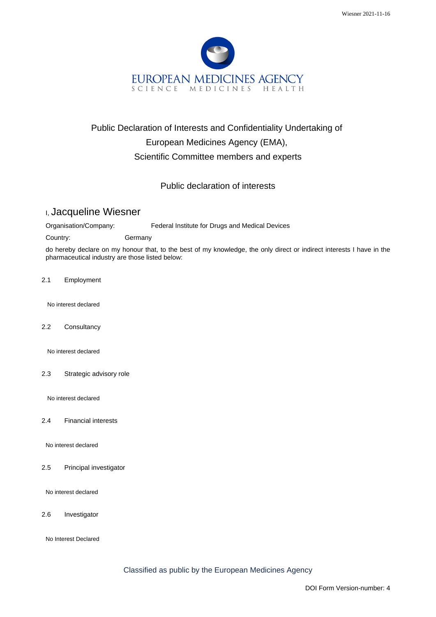

## Public Declaration of Interests and Confidentiality Undertaking of European Medicines Agency (EMA), Scientific Committee members and experts

Public declaration of interests

## I, Jacqueline Wiesner

Organisation/Company: Federal Institute for Drugs and Medical Devices

Country: Germany

do hereby declare on my honour that, to the best of my knowledge, the only direct or indirect interests I have in the pharmaceutical industry are those listed below:

2.1 Employment

No interest declared

2.2 Consultancy

No interest declared

2.3 Strategic advisory role

No interest declared

2.4 Financial interests

No interest declared

2.5 Principal investigator

No interest declared

2.6 Investigator

No Interest Declared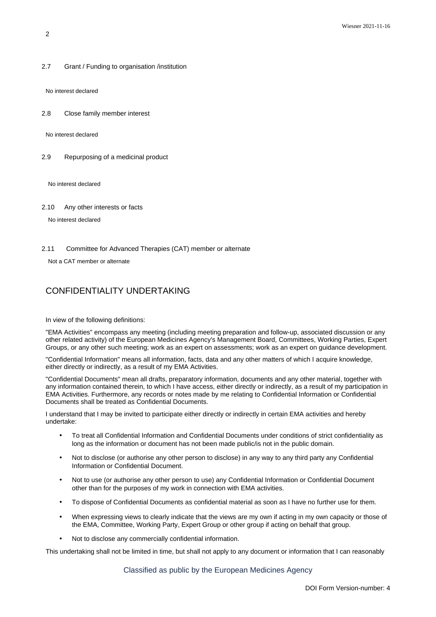2.7 Grant / Funding to organisation /institution

No interest declared

2.8 Close family member interest

No interest declared

2.9 Repurposing of a medicinal product

No interest declared

2.10 Any other interests or facts

No interest declared

2.11 Committee for Advanced Therapies (CAT) member or alternate

Not a CAT member or alternate

## CONFIDENTIALITY UNDERTAKING

In view of the following definitions:

"EMA Activities" encompass any meeting (including meeting preparation and follow-up, associated discussion or any other related activity) of the European Medicines Agency's Management Board, Committees, Working Parties, Expert Groups, or any other such meeting; work as an expert on assessments; work as an expert on guidance development.

"Confidential Information" means all information, facts, data and any other matters of which I acquire knowledge, either directly or indirectly, as a result of my EMA Activities.

"Confidential Documents" mean all drafts, preparatory information, documents and any other material, together with any information contained therein, to which I have access, either directly or indirectly, as a result of my participation in EMA Activities. Furthermore, any records or notes made by me relating to Confidential Information or Confidential Documents shall be treated as Confidential Documents.

I understand that I may be invited to participate either directly or indirectly in certain EMA activities and hereby undertake:

- To treat all Confidential Information and Confidential Documents under conditions of strict confidentiality as long as the information or document has not been made public/is not in the public domain.
- Not to disclose (or authorise any other person to disclose) in any way to any third party any Confidential Information or Confidential Document.
- Not to use (or authorise any other person to use) any Confidential Information or Confidential Document other than for the purposes of my work in connection with EMA activities.
- To dispose of Confidential Documents as confidential material as soon as I have no further use for them.
- When expressing views to clearly indicate that the views are my own if acting in my own capacity or those of the EMA, Committee, Working Party, Expert Group or other group if acting on behalf that group.
- Not to disclose any commercially confidential information.

This undertaking shall not be limited in time, but shall not apply to any document or information that I can reasonably

Classified as public by the European Medicines Agency